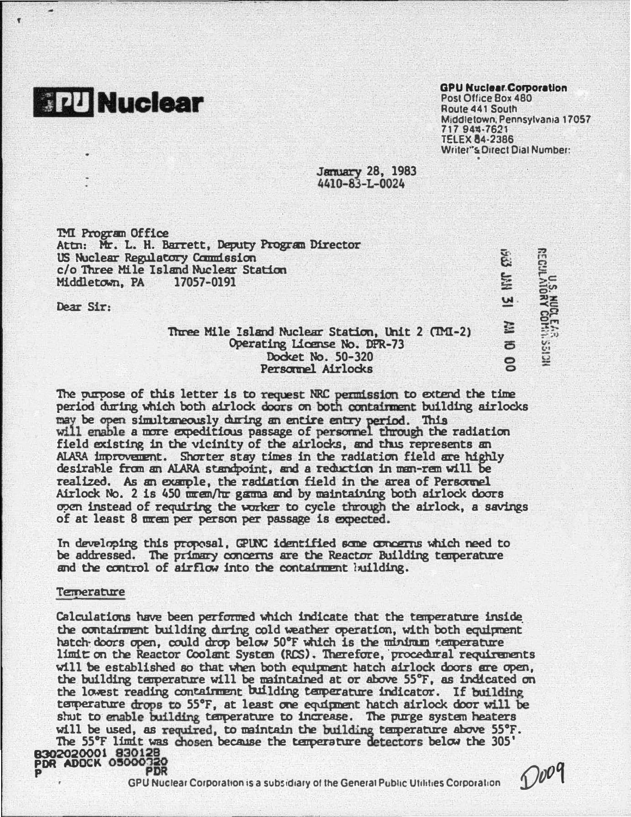# **READ Nuclear**

#### **GPU Nuclear Corporation**

Post Office Box 480 Route 441 South Middletown, Pennsylvania 17057 717 944-762 **TFI FX 84-2386** Writer"s Direct Dial Number:

لگارا<br>ا

**ANIL** 

<u>ี๋พ</u>

E

**F** 

 $\sum_{i=1}^{n}$ 

**U.S. NUCLEAR**<br>REGULATORY COMMASSION

**January 28, 1983** 4410-83-L-0024

**TMI Program Office** Attn: Mr. L. H. Barrett, Deputy Program Director US Nuclear Regulatory Countssion c/o Three Mile Island Nuclear Station Middletown, PA 17057-0191

Dear Sir:

## Three Mile Island Nuclear Station, Unit 2 (TMI-2) Operating License No. DFR-73 Docket No. 50-320 Personnel Airlocks

The purpose of this letter is to request NRC permission to extend the time period during which both airlock doors on both containment building airlocks may be open simultaneously during an entire entry period. This will enable a more expeditious passage of personnel through the radiation field existing in the vicinity of the airlocks, and thus represents an ALARA improvement. Shorter stay times in the radiation field are highly desirable from an ALARA standpoint, and a reduction in man-rem will be realized. As an example, the radiation field in the area of Personnel Airlock No. 2 is 450 mm em/hr gamma and by maintaining both airlock doors open instead of requiring the worker to cycle through the airlock, a savings of at least 8 mmem per person per passage is expected.

In developing this proposal, GPUNC identified some concerns which need to be addressed. The primary concerns are the Reactor Building temperature and the control of airflow into the containment building.

#### **Temerature**

Calculations have been performed which indicate that the temperature inside the containment building during cold weather operation, with both equipment hatch doors open, could drop below 50°F which is the minimum temperature limit on the Reactor Coolant System (RCS). Therefore, procedural requirements will be established so that when both equipment hatch airlock doors are open, the building temperature will be maintained at or above 55°F, as indicated on the lowest reading containment building temperature indicator. If building temperature drops to 55°F, at least one equipment hatch airlock door will be shut to enable building temperature to increase. The purge system heaters will be used, as required, to maintain the building temperature above 55°F. The 55°F limit was chosen because the temperature detectors below the 305' B302020001 830128 PDR

GPU Nuclear Corporation is a subsidiary of the General Public Utilities Corporation

 $O009$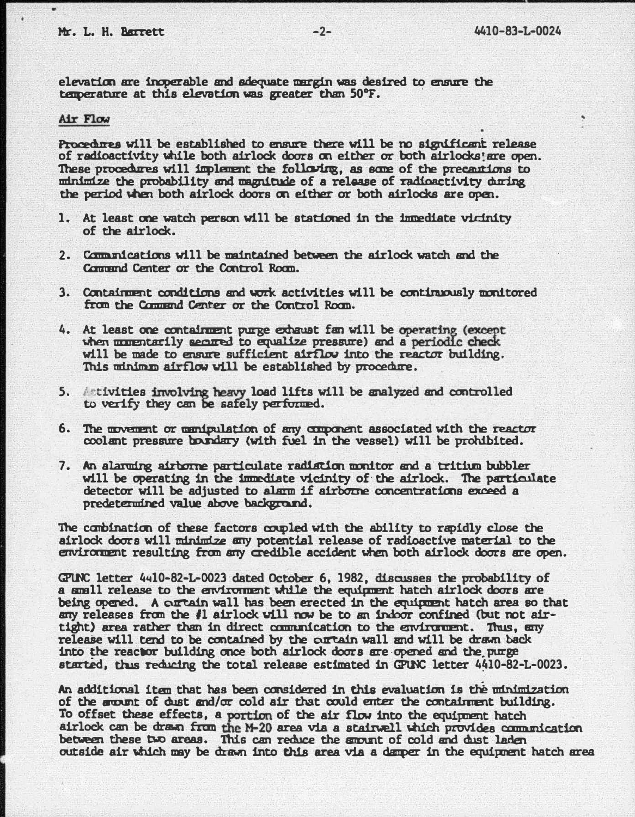elevatim are inoperable and adequate mrgin was desired to ensure the elevation are insperable and adequate dargin was desired to<br>temperature at this elevation was greater than 50°F.

### Air Flow

I

Procedures will be established to ensure there will be no significant release of radioactivity while both airlock doors on either or both airlocks! are open. of radioactivity while both airlock doors on either or both airlocks! are open.<br>These procedures will implement the following, as some of the precautions to � the probability and magnitude of a release of radioactivity during the period when both airlock doors on either or both airlocks are open.

- 1. At least one watch person will be statimed in the inmediate vicinity of the airlock.
- 2. Communications will be maintained between the airlock watch and the Commend Center or the Control Roam.
- 3. Containment conditions and work activities will be continuously monitored fran the Cammui Center or the Control Roan.
- 4. At least one ccntairment purge exhaust fan will be operating (except when momentarily secured to equalize pressure) and a periodic check will be made to ensure sufficient airflow into the reactor building. This winimm airflow will be established by procedure.
- 5. Activities involving heavy load lifts will be analyzed and controlled to verify they can be safely performed.
- 6. The movement or menipulation of any component associated with the reactor coolant pressure boundary (with fuel in the vessel) will be prohibited.
- 7. An alarming airborne particulate radiation monitor and a tritium bubbler will be operating in the immediate vicinity of the airlock. The particulate detector will be adjusted to alarm if airborne concentrations exceed a predetermined value above background.

The cambination of these factors coupled with the ability to rapidly close the envi.roment resulting fran any credible accident when both airlock doors are open. airlock doors will minimize any potential release of radioactive material to the

GP1N: letter 4itl0-82-L-0023 dated October 6, 1982, discusses the probability of a small release to the environment while the equipment hatch airlock doors are being opened . A curtain wall has been erected in the equipment hatch ares so that any releases fran the #1 airlock will now be to an indoor confined (but rot airtight) area rather than in direct communication to the environment. Thus, any release will tend to be contained by the curtain wall and will be drawn back into the reactor building once both airlock doors are ·opened and the. purge started, thus reducing the total release estimated in GPUNC letter 4410-82-L-0023.

An additional item that has been considered in this evaluation is the minimization of the arount of dust and/or cold air that could enter the containment building. To offset these effects, a portion of the air flow into the equipnent hatch airlock can be drawn from the M-20 area via a stairwell which provides communication between these two areas. This can reduce the smount of cold and dust laden outside air which may be drawn into this area via a damper in the equipment hatch area